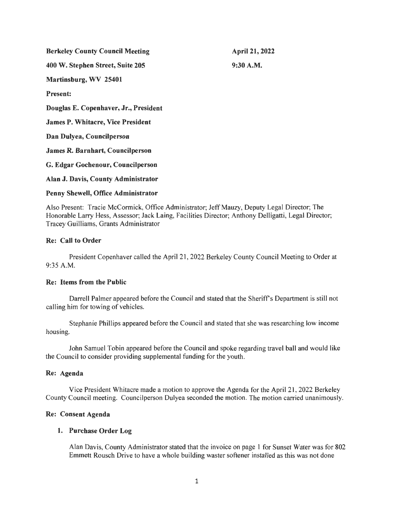| <b>Berkeley County Council Meeting</b>   | <b>April 21, 2022</b> |
|------------------------------------------|-----------------------|
| 400 W. Stephen Street, Suite 205         | $9:30$ A.M.           |
| Martinsburg, WV 25401                    |                       |
| <b>Present:</b>                          |                       |
| Douglas E. Copenhaver, Jr., President    |                       |
| <b>James P. Whitacre, Vice President</b> |                       |
| Dan Dulyea, Councilperson                |                       |
| <b>James R. Barnhart, Councilperson</b>  |                       |
| G. Edgar Gochenour, Councilperson        |                       |
| Alan J. Davis, County Administrator      |                       |
|                                          |                       |

## Penny Shewell, Office Administrator

Also Present: Tracie McCormick, Office Administrator; Jeff Mauzy, Deputy Legal Director; The Honorable Larry Hess, Assessor; Jack Laing, Facilities Director; Anthony Delligatti, Legal Director; Tracey Guilliams, Grants Administrator

# Re: Call to Order

President Copenhaver called the April 21, 2022 Berkeley County Council Meeting to Order at 9:35 A.M.

# Re: Items from the Public

Darrell Palmer appeared before the Council and stated that the Sheriff's Department is still not calling him for towing of vehicles.

Stephanie Phillips appeared before the Council and stated that she was researching low income housing.

John Samuel Tobin appeared before the Council and spoke regarding travel ball and would like the Council to consider providing supplemental funding for the youth.

## Re: Agenda

Vice President Whitacre made a motion to approve the Agenda for the April 21 , 2022 Berkeley County Council meeting. Councilperson Dulyea seconded the motion. The motion carried unanimously.

## Re: Consent Agenda

## 1. Purchase Order Log

Alan Davis, County Administrator stated that the invoice on page 1 for Sunset Water was for 802 Emmett Rousch Drive to have a whole building waster softener installed as this was not done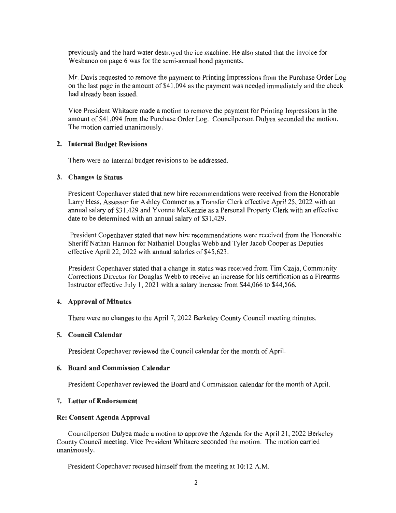previously and the hard water destroyed the ice machine. He also stated that the invoice for Wesbanco on page 6 was for the semi-annual bond payments.

Mr. Davis requested to remove the payment to Printing Impressions from the Purchase Order Log on the last page in the amount of \$41 ,094 as the payment was needed immediately and the check had already been issued.

Vice President Whitacre made a motion to remove the payment for Printing Impressions in the amount of \$41 ,094 from the Purchase Order Log. Councilperson Dulyea seconded the motion. The motion carried unanimously.

## **2. Internal Budget Revisions**

There were no internal budget revisions to be addressed.

#### **3. Changes in Status**

President Copenhaver stated that new hire recommendations were received from the Honorable Larry Hess, Assessor for Ashley Commer as a Transfer Clerk effective April 25, 2022 with an annual salary of\$31 ,429 and Yvonne McKenzie as a Personal Property Clerk with an effective date to be determined with an annual salary of \$31,429.

President Copenhaver stated that new hire recommendations were received from the Honorable Sheriff Nathan Harmon for Nathaniel Douglas Webb and Tyler Jacob Cooper as Deputies effective April 22, 2022 with annual salaries of \$45,623 .

President Copenhaver stated that a change in status was received from Tim Czaja, Community Corrections Director for Douglas Webb to receive an increase for his certification as a Firearms Instructor effective July I, 2021 with a salary increase from \$44,066 to \$44,566.

#### **4. Approval of Minutes**

There were no changes to the April 7, 2022 Berkeley County Council meeting minutes.

#### **5. Council Calendar**

President Copenhaver reviewed the Council calendar for the month of April.

#### **6. Board and Commission Calendar**

President Copenhaver reviewed the Board and Commission calendar for the month of April.

## **7. Letter of Endorsement**

#### **Re: Consent Agenda Approval**

Councilperson Dulyea made a motion to approve the Agenda for the April 21, 2022 Berkeley County Council meeting. Vice President Whitacre seconded the motion. The motion carried unanimously.

President Copenhaver recused himself from the meeting at 10:12 A.M.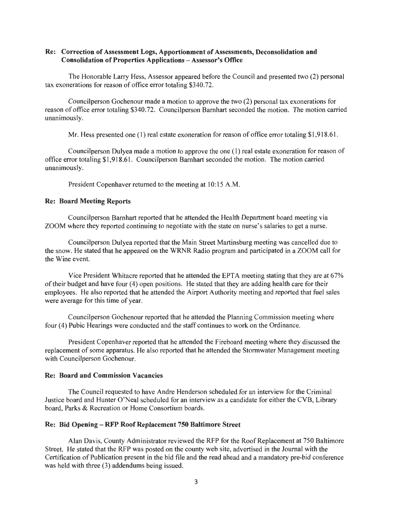## Re: Correction of Assessment Logs, Apportionment of Assessments, Deconsolidation and Consolidation of Properties Applications - Assessor's Office

The Honorable Larry Hess, Assessor appeared before the Council and presented two (2) personal tax exonerations for reason of office error totaling \$340.72.

Councilperson Gochenour made a motion to approve the two (2) personal tax exonerations for reason of office error totaling \$340.72. Councilperson Barnhart seconded the motion. The motion carried unanimously.

Mr. Hess presented one (1) real estate exoneration for reason of office error totaling \$1,918.61.

Councilperson Dulyea made a motion to approve the one (1) real estate exoneration for reason of office error totaling \$1 ,918.61. Councilperson Barnhart seconded the motion. The motion carried unanimously.

President Copenhaver returned to the meeting at 10: 15 A.M.

#### Re: Board Meeting Reports

Councilperson Barnhart reported that he attended the Health Department board meeting via ZOOM where they reported continuing to negotiate with the state on nurse's salaries to get a nurse.

Councilperson Dulyea reported that the Main Street Martinsburg meeting was cancelled due to the snow. He stated that he appeared on the WRNR Radio program and participated in a ZOOM call for the Wine event.

Vice President Whitacre reported that he attended the EPTA meeting stating that they are at 67% of their budget and have four (4) open positions. He stated that they are adding health care for their employees. He also reported that he attended the Airport Authority meeting and reported that fuel sales were average for this time of year.

Councilperson Gochenour reported that he attended the Planning Commission meeting where four (4) Pubic Hearings were conducted and the staff continues to work on the Ordinance.

President Copenhaver reported that he attended the Fireboard meeting where they discussed the replacement of some apparatus. He also reported that he attended the Stormwater Management meeting with Councilperson Gochenour.

## Re: Board and Commission Vacancies

The Council requested to have Andre Henderson scheduled for an interview for the Criminal Justice board and Hunter O'Neal scheduled for an interview as a candidate for either the CYB, Library board, Parks & Recreation or Home Consortium boards.

# Re: Bid Opening - RFP Roof Replacement 750 Baltimore Street

Alan Davis, County Administrator reviewed the RFP for the Roof Replacement at 750 Baltimore Street. He stated that the RFP was posted on the county web site, advertised in the Journal with the Certification of Publication present in the bid file and the read ahead and a mandatory pre-bid conference was held with three (3) addendums being issued.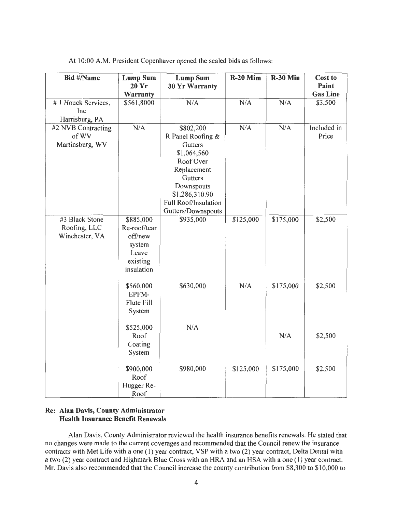| <b>Bid #/Name</b>  | <b>Lump Sum</b> | <b>Lump Sum</b>       | $R-20$ Mim | R-30 Min  | Cost to         |
|--------------------|-----------------|-----------------------|------------|-----------|-----------------|
|                    | 20 Yr           | <b>30 Yr Warranty</b> |            |           | Paint           |
|                    | Warranty        |                       |            |           | <b>Gas Line</b> |
| #1 Houck Services, | \$561,8000      | N/A                   | N/A        | N/A       | \$3,500         |
| Inc                |                 |                       |            |           |                 |
| Harrisburg, PA     |                 |                       |            |           |                 |
| #2 NVB Contracting | N/A             | \$802,200             | N/A        | N/A       | Included in     |
| of WV              |                 | R Panel Roofing &     |            |           | Price           |
| Martinsburg, WV    |                 | Gutters               |            |           |                 |
|                    |                 | \$1,064,560           |            |           |                 |
|                    |                 | Roof Over             |            |           |                 |
|                    |                 | Replacement           |            |           |                 |
|                    |                 | Gutters               |            |           |                 |
|                    |                 | Downspouts            |            |           |                 |
|                    |                 | \$1,286,310.90        |            |           |                 |
|                    |                 | Full Roof/Insulation  |            |           |                 |
|                    |                 | Gutters/Downspouts    |            |           |                 |
| #3 Black Stone     | \$885,000       | \$935,000             | \$125,000  | \$175,000 | \$2,500         |
| Roofing, LLC       | Re-roof/tear    |                       |            |           |                 |
| Winchester, VA     | off/new         |                       |            |           |                 |
|                    | system          |                       |            |           |                 |
|                    | Leave           |                       |            |           |                 |
|                    | existing        |                       |            |           |                 |
|                    | insulation      |                       |            |           |                 |
|                    |                 |                       |            |           |                 |
|                    | \$560,000       | \$630,000             | N/A        | \$175,000 | \$2,500         |
|                    | EPFM-           |                       |            |           |                 |
|                    | Flute Fill      |                       |            |           |                 |
|                    | System          |                       |            |           |                 |
|                    |                 |                       |            |           |                 |
|                    | \$525,000       | N/A                   |            |           |                 |
|                    | Roof            |                       |            | N/A       | \$2,500         |
|                    | Coating         |                       |            |           |                 |
|                    | System          |                       |            |           |                 |
|                    |                 |                       |            |           |                 |
|                    | \$900,000       | \$980,000             | \$125,000  | \$175,000 | \$2,500         |
|                    | Roof            |                       |            |           |                 |
|                    | Hugger Re-      |                       |            |           |                 |
|                    | Roof            |                       |            |           |                 |

At 10:00 A.M. President Copenhaver opened the sealed bids as follows:

# Re: Alan Davis, County Administrator Health Insurance Benefit Renewals

Alan Davis, County Administrator reviewed the health insurance benefits renewals. He stated that no changes were made to the current coverages and recommended that the Council renew the insurance contracts with Met Life with a one (1) year contract, VSP with a two (2) year contract, Delta Dental with a two (2) year contract and Highmark Blue Cross with an HRA and an HSA with a one (1) year contract. Mr. Davis also recommended that the Council increase the county contribution from \$8,300 to \$10,000 to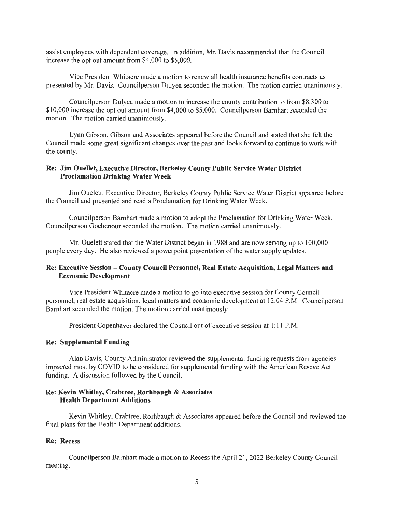assist employees with dependent coverage. In addition, Mr. Davis recommended that the Council increase the opt out amount from \$4,000 to \$5,000.

Vice President Whitacre made a motion to renew all health insurance benefits contracts as presented by Mr. Davis. Councilperson Dulyea seconded the motion. The motion carried unanimously.

Councilperson Dulyea made a motion to increase the county contribution to from \$8,300 to \$10,000 increase the opt out amount from \$4,000 to \$5,000. Councilperson Barnhart seconded the motion. The motion carried unanimously.

Lynn Gibson, Gibson and Associates appeared before the Council and stated that she felt the Council made some great significant changes over the past and looks forward to continue to work with the county.

# Re: Jim Ouellet, Executive Director, Berkeley County Public Service Water District Proclamation Drinking Water Week

Jim Ouelett, Executive Director, Berkeley County Public Service Water District appeared before the Council and presented and read a Proclamation for Drinking Water Week.

Councilperson Barnhart made a motion to adopt the Proclamation for Drinking Water Week. Councilperson Gochenour seconded the motion. The motion carried unanimously.

Mr. Ouelett stated that the Water District began in 1988 and are now serving up to 100,000 people every day. He also reviewed a powerpoint presentation of the water supply updates.

# Re: Executive Session - County Council Personnel, Real Estate Acquisition, Legal Matters and Economic Development

Vice President Whitacre made a motion to go into executive session for County Council personnel, real estate acquisition, legal matters and economic development at 12:04 P.M. Councilperson Barnhart seconded the motion. The motion carried unanimously.

President Copenhaver declared the Council out of executive session at 1: 11 P.M.

## Re: Supplemental Funding

Alan Davis, County Administrator reviewed the supplemental funding requests from agencies impacted most by COVID to be considered for supplemental funding with the American Rescue Act funding. A discussion followed by the Council.

# Re: Kevin Whitley, Crabtree, Rorhbaugh & Associates Health Department Additions

Kevin Whitley, Crabtree, Rorhbaugh & Associates appeared before the Council and reviewed the final plans for the Health Department additions.

## Re: Recess

Councilperson Barnhart made a motion to Recess the April 21 , 2022 Berkeley County Council meeting.